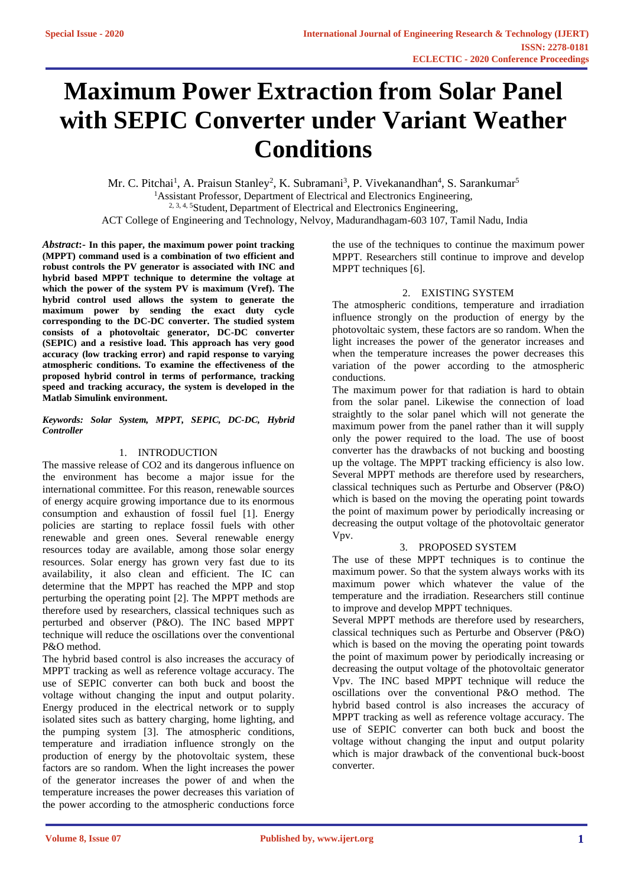# **Maximum Power Extraction from Solar Panel with SEPIC Converter under Variant Weather Conditions**

Mr. C. Pitchai<sup>1</sup>, A. Praisun Stanley<sup>2</sup>, K. Subramani<sup>3</sup>, P. Vivekanandhan<sup>4</sup>, S. Sarankumar<sup>5</sup> <sup>1</sup>Assistant Professor, Department of Electrical and Electronics Engineering, <sup>2, 3, 4, 5</sup>Student, Department of Electrical and Electronics Engineering,

ACT College of Engineering and Technology, Nelvoy, Madurandhagam-603 107, Tamil Nadu, India

*Abstract***:- In this paper, the maximum power point tracking (MPPT) command used is a combination of two efficient and robust controls the PV generator is associated with INC and hybrid based MPPT technique to determine the voltage at which the power of the system PV is maximum (Vref). The hybrid control used allows the system to generate the maximum power by sending the exact duty cycle corresponding to the DC-DC converter. The studied system consists of a photovoltaic generator, DC-DC converter (SEPIC) and a resistive load. This approach has very good accuracy (low tracking error) and rapid response to varying atmospheric conditions. To examine the effectiveness of the proposed hybrid control in terms of performance, tracking speed and tracking accuracy, the system is developed in the Matlab Simulink environment.**

#### *Keywords: Solar System, MPPT, SEPIC, DC-DC, Hybrid Controller*

# 1. INTRODUCTION

The massive release of CO2 and its dangerous influence on the environment has become a major issue for the international committee. For this reason, renewable sources of energy acquire growing importance due to its enormous consumption and exhaustion of fossil fuel [1]. Energy policies are starting to replace fossil fuels with other renewable and green ones. Several renewable energy resources today are available, among those solar energy resources. Solar energy has grown very fast due to its availability, it also clean and efficient. The IC can determine that the MPPT has reached the MPP and stop perturbing the operating point [2]. The MPPT methods are therefore used by researchers, classical techniques such as perturbed and observer (P&O). The INC based MPPT technique will reduce the oscillations over the conventional P&O method.

The hybrid based control is also increases the accuracy of MPPT tracking as well as reference voltage accuracy. The use of SEPIC converter can both buck and boost the voltage without changing the input and output polarity. Energy produced in the electrical network or to supply isolated sites such as battery charging, home lighting, and the pumping system [3]. The atmospheric conditions, temperature and irradiation influence strongly on the production of energy by the photovoltaic system, these factors are so random. When the light increases the power of the generator increases the power of and when the temperature increases the power decreases this variation of the power according to the atmospheric conductions force

the use of the techniques to continue the maximum power MPPT. Researchers still continue to improve and develop MPPT techniques [6].

## 2. EXISTING SYSTEM

The atmospheric conditions, temperature and irradiation influence strongly on the production of energy by the photovoltaic system, these factors are so random. When the light increases the power of the generator increases and when the temperature increases the power decreases this variation of the power according to the atmospheric conductions.

The maximum power for that radiation is hard to obtain from the solar panel. Likewise the connection of load straightly to the solar panel which will not generate the maximum power from the panel rather than it will supply only the power required to the load. The use of boost converter has the drawbacks of not bucking and boosting up the voltage. The MPPT tracking efficiency is also low. Several MPPT methods are therefore used by researchers, classical techniques such as Perturbe and Observer (P&O) which is based on the moving the operating point towards the point of maximum power by periodically increasing or decreasing the output voltage of the photovoltaic generator Vpv.

#### 3. PROPOSED SYSTEM

The use of these MPPT techniques is to continue the maximum power. So that the system always works with its maximum power which whatever the value of the temperature and the irradiation. Researchers still continue to improve and develop MPPT techniques.

Several MPPT methods are therefore used by researchers, classical techniques such as Perturbe and Observer (P&O) which is based on the moving the operating point towards the point of maximum power by periodically increasing or decreasing the output voltage of the photovoltaic generator Vpv. The INC based MPPT technique will reduce the oscillations over the conventional P&O method. The hybrid based control is also increases the accuracy of MPPT tracking as well as reference voltage accuracy. The use of SEPIC converter can both buck and boost the voltage without changing the input and output polarity which is major drawback of the conventional buck-boost converter.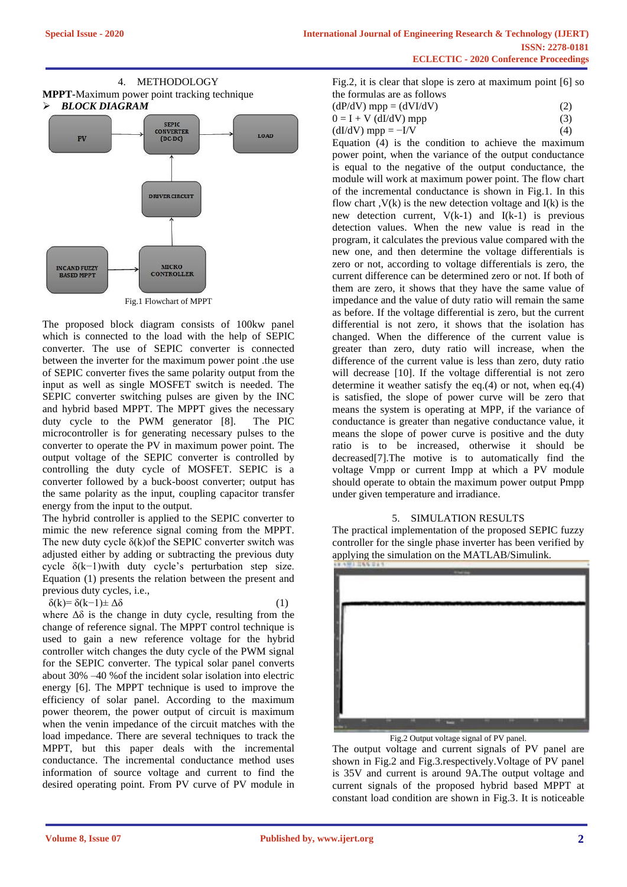

Fig.1 Flowchart of MPPT

The proposed block diagram consists of 100kw panel which is connected to the load with the help of SEPIC converter. The use of SEPIC converter is connected between the inverter for the maximum power point .the use of SEPIC converter fives the same polarity output from the input as well as single MOSFET switch is needed. The SEPIC converter switching pulses are given by the INC and hybrid based MPPT. The MPPT gives the necessary duty cycle to the PWM generator [8]. The PIC microcontroller is for generating necessary pulses to the converter to operate the PV in maximum power point. The output voltage of the SEPIC converter is controlled by controlling the duty cycle of MOSFET. SEPIC is a converter followed by a buck-boost converter; output has the same polarity as the input, coupling capacitor transfer energy from the input to the output.

The hybrid controller is applied to the SEPIC converter to mimic the new reference signal coming from the MPPT. The new duty cycle  $\delta(k)$ of the SEPIC converter switch was adjusted either by adding or subtracting the previous duty cycle δ(k−1)with duty cycle's perturbation step size. Equation (1) presents the relation between the present and previous duty cycles, i.e.,

$$
\delta(k) = \delta(k-1) \pm \Delta\delta \tag{1}
$$

$$
- (1)
$$

where  $\Delta\delta$  is the change in duty cycle, resulting from the change of reference signal. The MPPT control technique is used to gain a new reference voltage for the hybrid controller witch changes the duty cycle of the PWM signal for the SEPIC converter. The typical solar panel converts about 30% –40 %of the incident solar isolation into electric energy [6]. The MPPT technique is used to improve the efficiency of solar panel. According to the maximum power theorem, the power output of circuit is maximum when the venin impedance of the circuit matches with the load impedance. There are several techniques to track the MPPT, but this paper deals with the incremental conductance. The incremental conductance method uses information of source voltage and current to find the desired operating point. From PV curve of PV module in

| Fig.2, it is clear that slope is zero at maximum point $[6]$ so |  |
|-----------------------------------------------------------------|--|
| the formulas are as follows                                     |  |
|                                                                 |  |

| $(dP/dV)$ mpp = $(dVI/dV)$ | (2) |
|----------------------------|-----|
| $0 = I + V$ (dI/dV) mpp    | (3) |
| $(dI/dV)$ mpp = $-I/V$     | (4) |

Equation (4) is the condition to achieve the maximum power point, when the variance of the output conductance is equal to the negative of the output conductance, the module will work at maximum power point. The flow chart of the incremental conductance is shown in Fig.1. In this flow chart  $V(k)$  is the new detection voltage and  $I(k)$  is the new detection current,  $V(k-1)$  and  $I(k-1)$  is previous detection values. When the new value is read in the program, it calculates the previous value compared with the new one, and then determine the voltage differentials is zero or not, according to voltage differentials is zero, the current difference can be determined zero or not. If both of them are zero, it shows that they have the same value of impedance and the value of duty ratio will remain the same as before. If the voltage differential is zero, but the current differential is not zero, it shows that the isolation has changed. When the difference of the current value is greater than zero, duty ratio will increase, when the difference of the current value is less than zero, duty ratio will decrease [10]. If the voltage differential is not zero determine it weather satisfy the eq.(4) or not, when eq.(4) is satisfied, the slope of power curve will be zero that means the system is operating at MPP, if the variance of conductance is greater than negative conductance value, it means the slope of power curve is positive and the duty ratio is to be increased, otherwise it should be decreased[7].The motive is to automatically find the voltage Vmpp or current Impp at which a PV module should operate to obtain the maximum power output Pmpp under given temperature and irradiance.

# 5. SIMULATION RESULTS

The practical implementation of the proposed SEPIC fuzzy controller for the single phase inverter has been verified by applying the simulation on the MATLAB/Simulink.



Fig.2 Output voltage signal of PV panel.

The output voltage and current signals of PV panel are shown in Fig.2 and Fig.3.respectively.Voltage of PV panel is 35V and current is around 9A.The output voltage and current signals of the proposed hybrid based MPPT at constant load condition are shown in Fig.3. It is noticeable